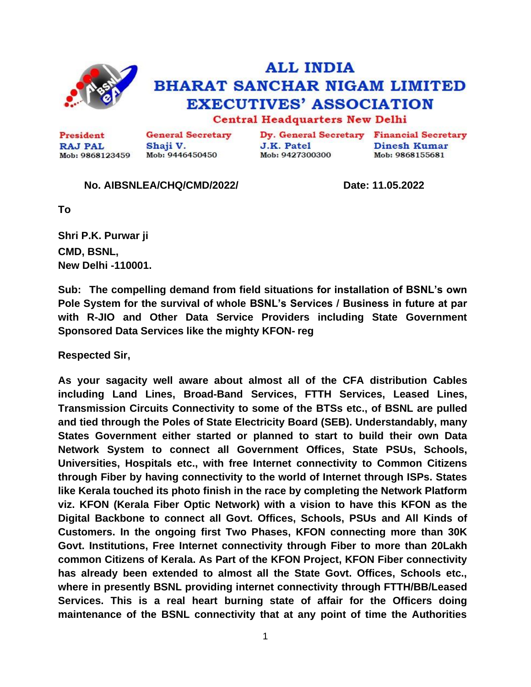

## **ALL INDIA BHARAT SANCHAR NIGAM LIMITED EXECUTIVES' ASSOCIATION Central Headquarters New Delhi**

**General Secretary** President Shaji V. **RAJ PAL** Mob: 9446450450 Mob: 9868123459

Dy. General Secretary Financial Secretary **J.K. Patel** Mob: 9427300300

**Dinesh Kumar** Mob: 9868155681

## **No. AIBSNLEA/CHQ/CMD/2022/ Date: 11.05.2022**

**To**

**Shri P.K. Purwar ji CMD, BSNL, New Delhi -110001.**

**Sub: The compelling demand from field situations for installation of BSNL's own Pole System for the survival of whole BSNL's Services / Business in future at par with R-JIO and Other Data Service Providers including State Government Sponsored Data Services like the mighty KFON- reg**

**Respected Sir,**

**As your sagacity well aware about almost all of the CFA distribution Cables including Land Lines, Broad-Band Services, FTTH Services, Leased Lines, Transmission Circuits Connectivity to some of the BTSs etc., of BSNL are pulled and tied through the Poles of State Electricity Board (SEB). Understandably, many States Government either started or planned to start to build their own Data Network System to connect all Government Offices, State PSUs, Schools, Universities, Hospitals etc., with free Internet connectivity to Common Citizens through Fiber by having connectivity to the world of Internet through ISPs. States like Kerala touched its photo finish in the race by completing the Network Platform viz. KFON (Kerala Fiber Optic Network) with a vision to have this KFON as the Digital Backbone to connect all Govt. Offices, Schools, PSUs and All Kinds of Customers. In the ongoing first Two Phases, KFON connecting more than 30K Govt. Institutions, Free Internet connectivity through Fiber to more than 20Lakh common Citizens of Kerala. As Part of the KFON Project, KFON Fiber connectivity has already been extended to almost all the State Govt. Offices, Schools etc., where in presently BSNL providing internet connectivity through FTTH/BB/Leased Services. This is a real heart burning state of affair for the Officers doing maintenance of the BSNL connectivity that at any point of time the Authorities** 

1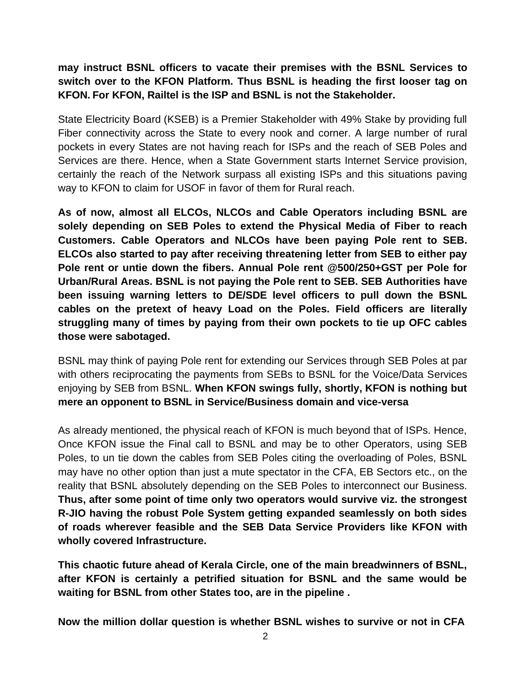**may instruct BSNL officers to vacate their premises with the BSNL Services to switch over to the KFON Platform. Thus BSNL is heading the first looser tag on KFON. For KFON, Railtel is the ISP and BSNL is not the Stakeholder.** 

State Electricity Board (KSEB) is a Premier Stakeholder with 49% Stake by providing full Fiber connectivity across the State to every nook and corner. A large number of rural pockets in every States are not having reach for ISPs and the reach of SEB Poles and Services are there. Hence, when a State Government starts Internet Service provision, certainly the reach of the Network surpass all existing ISPs and this situations paving way to KFON to claim for USOF in favor of them for Rural reach.

**As of now, almost all ELCOs, NLCOs and Cable Operators including BSNL are solely depending on SEB Poles to extend the Physical Media of Fiber to reach Customers. Cable Operators and NLCOs have been paying Pole rent to SEB. ELCOs also started to pay after receiving threatening letter from SEB to either pay Pole rent or untie down the fibers. Annual Pole rent @500/250+GST per Pole for Urban/Rural Areas. BSNL is not paying the Pole rent to SEB. SEB Authorities have been issuing warning letters to DE/SDE level officers to pull down the BSNL cables on the pretext of heavy Load on the Poles. Field officers are literally struggling many of times by paying from their own pockets to tie up OFC cables those were sabotaged.**

BSNL may think of paying Pole rent for extending our Services through SEB Poles at par with others reciprocating the payments from SEBs to BSNL for the Voice/Data Services enjoying by SEB from BSNL. **When KFON swings fully, shortly, KFON is nothing but mere an opponent to BSNL in Service/Business domain and vice-versa**

As already mentioned, the physical reach of KFON is much beyond that of ISPs. Hence, Once KFON issue the Final call to BSNL and may be to other Operators, using SEB Poles, to un tie down the cables from SEB Poles citing the overloading of Poles, BSNL may have no other option than just a mute spectator in the CFA, EB Sectors etc., on the reality that BSNL absolutely depending on the SEB Poles to interconnect our Business. **Thus, after some point of time only two operators would survive viz. the strongest R-JIO having the robust Pole System getting expanded seamlessly on both sides of roads wherever feasible and the SEB Data Service Providers like KFON with wholly covered Infrastructure.**

**This chaotic future ahead of Kerala Circle, one of the main breadwinners of BSNL, after KFON is certainly a petrified situation for BSNL and the same would be waiting for BSNL from other States too, are in the pipeline .**

**Now the million dollar question is whether BSNL wishes to survive or not in CFA**